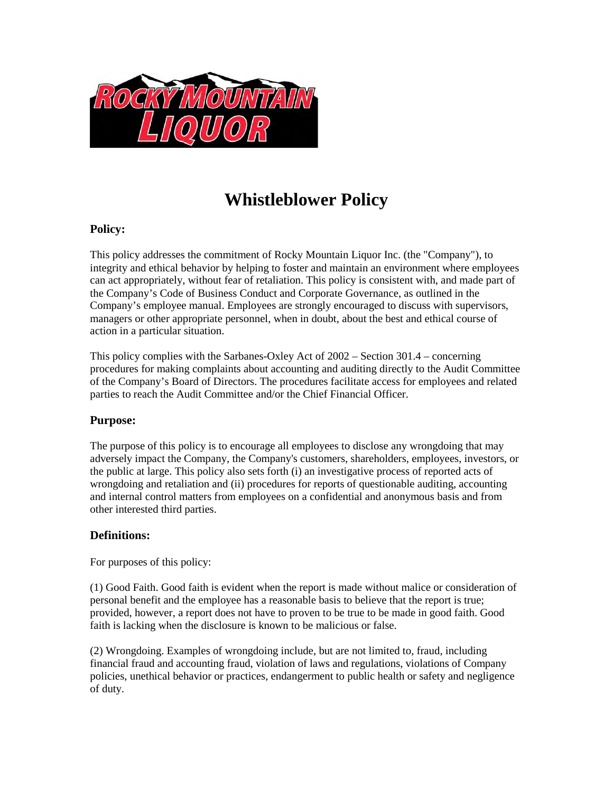

# **Whistleblower Policy**

# **Policy:**

This policy addresses the commitment of Rocky Mountain Liquor Inc. (the "Company"), to integrity and ethical behavior by helping to foster and maintain an environment where employees can act appropriately, without fear of retaliation. This policy is consistent with, and made part of the Company's Code of Business Conduct and Corporate Governance, as outlined in the Company's employee manual. Employees are strongly encouraged to discuss with supervisors, managers or other appropriate personnel, when in doubt, about the best and ethical course of action in a particular situation.

This policy complies with the Sarbanes-Oxley Act of 2002 – Section 301.4 – concerning procedures for making complaints about accounting and auditing directly to the Audit Committee of the Company's Board of Directors. The procedures facilitate access for employees and related parties to reach the Audit Committee and/or the Chief Financial Officer.

# **Purpose:**

The purpose of this policy is to encourage all employees to disclose any wrongdoing that may adversely impact the Company, the Company's customers, shareholders, employees, investors, or the public at large. This policy also sets forth (i) an investigative process of reported acts of wrongdoing and retaliation and (ii) procedures for reports of questionable auditing, accounting and internal control matters from employees on a confidential and anonymous basis and from other interested third parties.

# **Definitions:**

For purposes of this policy:

(1) Good Faith. Good faith is evident when the report is made without malice or consideration of personal benefit and the employee has a reasonable basis to believe that the report is true; provided, however, a report does not have to proven to be true to be made in good faith. Good faith is lacking when the disclosure is known to be malicious or false.

(2) Wrongdoing. Examples of wrongdoing include, but are not limited to, fraud, including financial fraud and accounting fraud, violation of laws and regulations, violations of Company policies, unethical behavior or practices, endangerment to public health or safety and negligence of duty.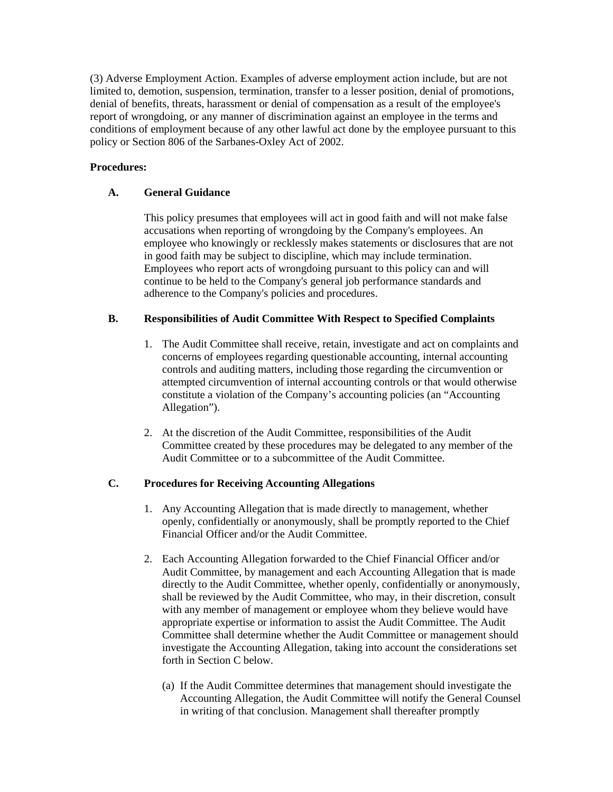(3) Adverse Employment Action. Examples of adverse employment action include, but are not limited to, demotion, suspension, termination, transfer to a lesser position, denial of promotions, denial of benefits, threats, harassment or denial of compensation as a result of the employee's report of wrongdoing, or any manner of discrimination against an employee in the terms and conditions of employment because of any other lawful act done by the employee pursuant to this policy or Section 806 of the Sarbanes-Oxley Act of 2002.

## **Procedures:**

# **A. General Guidance**

This policy presumes that employees will act in good faith and will not make false accusations when reporting of wrongdoing by the Company's employees. An employee who knowingly or recklessly makes statements or disclosures that are not in good faith may be subject to discipline, which may include termination. Employees who report acts of wrongdoing pursuant to this policy can and will continue to be held to the Company's general job performance standards and adherence to the Company's policies and procedures.

# **B. Responsibilities of Audit Committee With Respect to Specified Complaints**

- 1. The Audit Committee shall receive, retain, investigate and act on complaints and concerns of employees regarding questionable accounting, internal accounting controls and auditing matters, including those regarding the circumvention or attempted circumvention of internal accounting controls or that would otherwise constitute a violation of the Company's accounting policies (an "Accounting Allegation").
- 2. At the discretion of the Audit Committee, responsibilities of the Audit Committee created by these procedures may be delegated to any member of the Audit Committee or to a subcommittee of the Audit Committee.

## **C. Procedures for Receiving Accounting Allegations**

- 1. Any Accounting Allegation that is made directly to management, whether openly, confidentially or anonymously, shall be promptly reported to the Chief Financial Officer and/or the Audit Committee.
- 2. Each Accounting Allegation forwarded to the Chief Financial Officer and/or Audit Committee, by management and each Accounting Allegation that is made directly to the Audit Committee, whether openly, confidentially or anonymously, shall be reviewed by the Audit Committee, who may, in their discretion, consult with any member of management or employee whom they believe would have appropriate expertise or information to assist the Audit Committee. The Audit Committee shall determine whether the Audit Committee or management should investigate the Accounting Allegation, taking into account the considerations set forth in Section C below.
	- (a) If the Audit Committee determines that management should investigate the Accounting Allegation, the Audit Committee will notify the General Counsel in writing of that conclusion. Management shall thereafter promptly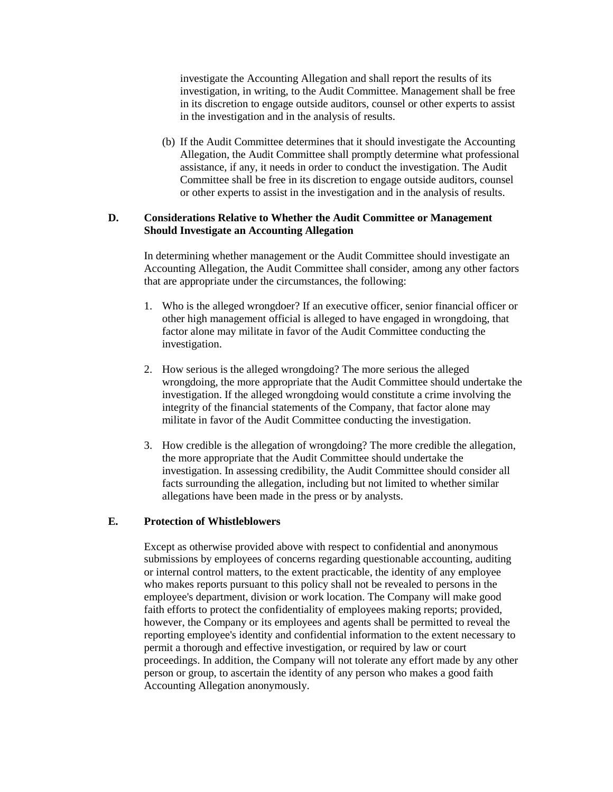investigate the Accounting Allegation and shall report the results of its investigation, in writing, to the Audit Committee. Management shall be free in its discretion to engage outside auditors, counsel or other experts to assist in the investigation and in the analysis of results.

(b) If the Audit Committee determines that it should investigate the Accounting Allegation, the Audit Committee shall promptly determine what professional assistance, if any, it needs in order to conduct the investigation. The Audit Committee shall be free in its discretion to engage outside auditors, counsel or other experts to assist in the investigation and in the analysis of results.

### **D. Considerations Relative to Whether the Audit Committee or Management Should Investigate an Accounting Allegation**

In determining whether management or the Audit Committee should investigate an Accounting Allegation, the Audit Committee shall consider, among any other factors that are appropriate under the circumstances, the following:

- 1. Who is the alleged wrongdoer? If an executive officer, senior financial officer or other high management official is alleged to have engaged in wrongdoing, that factor alone may militate in favor of the Audit Committee conducting the investigation.
- 2. How serious is the alleged wrongdoing? The more serious the alleged wrongdoing, the more appropriate that the Audit Committee should undertake the investigation. If the alleged wrongdoing would constitute a crime involving the integrity of the financial statements of the Company, that factor alone may militate in favor of the Audit Committee conducting the investigation.
- 3. How credible is the allegation of wrongdoing? The more credible the allegation, the more appropriate that the Audit Committee should undertake the investigation. In assessing credibility, the Audit Committee should consider all facts surrounding the allegation, including but not limited to whether similar allegations have been made in the press or by analysts.

#### **E. Protection of Whistleblowers**

Except as otherwise provided above with respect to confidential and anonymous submissions by employees of concerns regarding questionable accounting, auditing or internal control matters, to the extent practicable, the identity of any employee who makes reports pursuant to this policy shall not be revealed to persons in the employee's department, division or work location. The Company will make good faith efforts to protect the confidentiality of employees making reports; provided, however, the Company or its employees and agents shall be permitted to reveal the reporting employee's identity and confidential information to the extent necessary to permit a thorough and effective investigation, or required by law or court proceedings. In addition, the Company will not tolerate any effort made by any other person or group, to ascertain the identity of any person who makes a good faith Accounting Allegation anonymously.